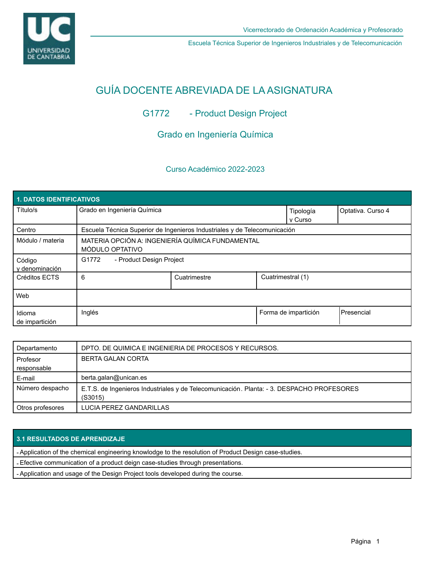

Escuela Técnica Superior de Ingenieros Industriales y de Telecomunicación

# GUÍA DOCENTE ABREVIADA DE LA ASIGNATURA

# G1772 - Product Design Project

# Grado en Ingeniería Química

## Curso Académico 2022-2023

| <b>1. DATOS IDENTIFICATIVOS</b> |                                                                           |              |                   |                      |                    |  |  |  |
|---------------------------------|---------------------------------------------------------------------------|--------------|-------------------|----------------------|--------------------|--|--|--|
| Título/s                        | Grado en Ingeniería Química                                               |              |                   | Tipología<br>v Curso | Optativa. Curso 4  |  |  |  |
| Centro                          | Escuela Técnica Superior de Ingenieros Industriales y de Telecomunicación |              |                   |                      |                    |  |  |  |
| Módulo / materia                | MATERIA OPCIÓN A: INGENIERÍA QUÍMICA FUNDAMENTAL<br>MÓDULO OPTATIVO       |              |                   |                      |                    |  |  |  |
| Código<br>y denominación        | G1772<br>- Product Design Project                                         |              |                   |                      |                    |  |  |  |
| Créditos ECTS                   | 6                                                                         | Cuatrimestre | Cuatrimestral (1) |                      |                    |  |  |  |
| Web                             |                                                                           |              |                   |                      |                    |  |  |  |
| Idioma<br>de impartición        | Inglés                                                                    |              |                   | Forma de impartición | <b>IPresencial</b> |  |  |  |

| Departamento     | DPTO. DE QUIMICA E INGENIERIA DE PROCESOS Y RECURSOS.                                                |
|------------------|------------------------------------------------------------------------------------------------------|
| Profesor         | <b>BERTA GALAN CORTA</b>                                                                             |
| responsable      |                                                                                                      |
| E-mail           | berta.galan@unican.es                                                                                |
| Número despacho  | E.T.S. de Ingenieros Industriales y de Telecomunicación. Planta: - 3. DESPACHO PROFESORES<br>(S3015) |
| Otros profesores | LUCIA PEREZ GANDARILLAS                                                                              |

### **3.1 RESULTADOS DE APRENDIZAJE**

- Application of the chemical engineering knowlodge to the resolution of Product Design case-studies.

- Efective communication of a product deign case-studies through presentations.

- Application and usage of the Design Project tools developed during the course.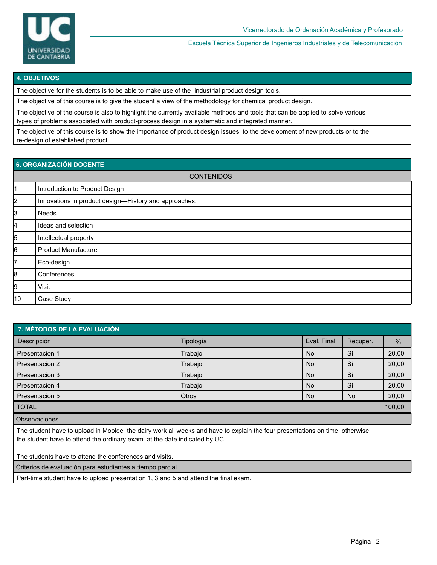

Escuela Técnica Superior de Ingenieros Industriales y de Telecomunicación

#### **4. OBJETIVOS**

The objective for the students is to be able to make use of the industrial product design tools.

The objective of this course is to give the student a view of the methodology for chemical product design.

The objective of the course is also to highlight the currently available methods and tools that can be applied to solve various types of problems associated with product-process design in a systematic and integrated manner.

The objective of this course is to show the importance of product design issues to the development of new products or to the re-design of established product..

| 6. ORGANIZACIÓN DOCENTE |                                                       |  |  |  |
|-------------------------|-------------------------------------------------------|--|--|--|
| <b>CONTENIDOS</b>       |                                                       |  |  |  |
| 11                      | Introduction to Product Design                        |  |  |  |
| 2                       | Innovations in product design-History and approaches. |  |  |  |
| 3                       | <b>Needs</b>                                          |  |  |  |
| 4                       | Ideas and selection                                   |  |  |  |
| 5                       | Intellectual property                                 |  |  |  |
| 6                       | <b>Product Manufacture</b>                            |  |  |  |
| 7                       | Eco-design                                            |  |  |  |
| 8                       | Conferences                                           |  |  |  |
| 9                       | Visit                                                 |  |  |  |
| 10                      | Case Study                                            |  |  |  |

| 7. MÉTODOS DE LA EVALUACIÓN |              |             |           |               |  |  |  |
|-----------------------------|--------------|-------------|-----------|---------------|--|--|--|
| Descripción                 | Tipología    | Eval. Final | Recuper.  | $\frac{9}{6}$ |  |  |  |
| Presentacion 1              | Trabajo      | <b>No</b>   | Sí        | 20,00         |  |  |  |
| Presentacion 2              | Trabajo      | <b>No</b>   | Sí        | 20,00         |  |  |  |
| Presentacion 3              | Trabajo      | <b>No</b>   | Sí        | 20,00         |  |  |  |
| Presentacion 4              | Trabajo      | <b>No</b>   | Sí        | 20,00         |  |  |  |
| Presentacion 5              | <b>Otros</b> | <b>No</b>   | <b>No</b> | 20,00         |  |  |  |
| <b>TOTAL</b>                |              |             |           | 100,00        |  |  |  |
|                             |              |             |           |               |  |  |  |

**Observaciones** 

The student have to upload in Moolde the dairy work all weeks and have to explain the four presentations on time, otherwise, the student have to attend the ordinary exam at the date indicated by UC.

The students have to attend the conferences and visits..

Criterios de evaluación para estudiantes a tiempo parcial

Part-time student have to upload presentation 1, 3 and 5 and attend the final exam.